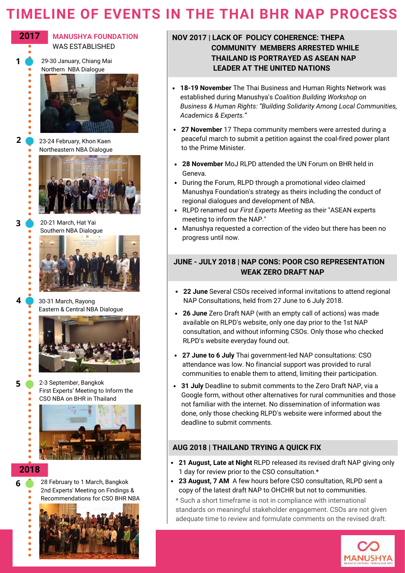# **TIMELINE OF EVENTS IN THE THAI BHR NAP PROCESS**



**1**

**2**

 $\bullet$ 

 $\bullet$ Ċ

**3**

**4**

**5**

**MANUSHYA FOUNDATION** WAS ESTABLISHED

29-30 January, Chiang Mai Northern NBA Dialogue



23-24 February, Khon Kaen Northeastern NBA Dialogue



20-21 March, Hat Yai Southern NBA Dialogue



30-31 March, Rayong Eastern & Central NBA Dialogue



2-3 September, Bangkok First Experts' Meeting to Inform the CSO NBA on BHR in Thailand



## **2018**

**6**

28 February to 1 March, Bangkok 2nd Experts' Meeting on Findings & Recommendations for CSO BHR NBA



### **NOV 2017 | LACK OF POLICY COHERENCE: THEPA COMMUNITY MEMBERS ARRESTED WHILE THAILAND IS PORTRAYED AS ASEAN NAP LEADER AT THE UNITED NATIONS**

- **18-19 November** The Thai Business and Human Rights Network was established during Manushya's *Coalition Building Workshop on Business & Human Rights: ƈBuilding Solidarity Among Local Communities, Academics & Experts.Ɖ*
- **27 November** 17 Thepa community members were arrested during a peaceful march to submit a petition against the coal-fired power plant to the Prime Minister.
- **28 November** MoJ RLPD attended the UN Forum on BHR held in Geneva.
- During the Forum, RLPD through a promotional video claimed Manushya Foundation's strategy as theirs including the conduct of regional dialogues and development of NBA.
- RLPD renamed our *First Experts Meeting* as their "ASEAN experts meeting to inform the NAP."
- Manushya requested a correction of the video but there has been no progress until now.

## **JUNE - JULY 2018 | NAP CONS: POOR CSO REPRESENTATION WEAK ZERO DRAFT NAP**

- **22 June** Several CSOs received informal invitations to attend regional NAP Consultations, held from 27 June to 6 July 2018.
- **26 June** Zero Draft NAP (with an empty call of actions) was made available on RLPD's website, only one day prior to the 1st NAP consultation, and without informing CSOs. Only those who checked RLPD's website everyday found out.
- **27 June to 6 July** Thai government-led NAP consultations: CSO attendance was low. No financial support was provided to rural communities to enable them to attend, limiting their participation.
- **31 July** Deadline to submit comments to the Zero Draft NAP, via a Google form, without other alternatives for rural communities and those not familiar with the internet. No dissemination of information was done, only those checking RLPD's website were informed about the deadline to submit comments.

## **AUG 2018 | THAILAND TRYING A QUICK FIX**

- **21 August, Late at Night** RLPD released its revised draft NAP giving only 1 day for review prior to the CSO consultation.\*
- **23 August, 7 AM** A few hours before CSO consultation, RLPD sent a copy of the latest draft NAP to OHCHR but not to communities.

\* Such a short timeframe is not in compliance with international standards on meaningful stakeholder engagement. CSOs are not given adequate time to review and formulate comments on the revised draft.